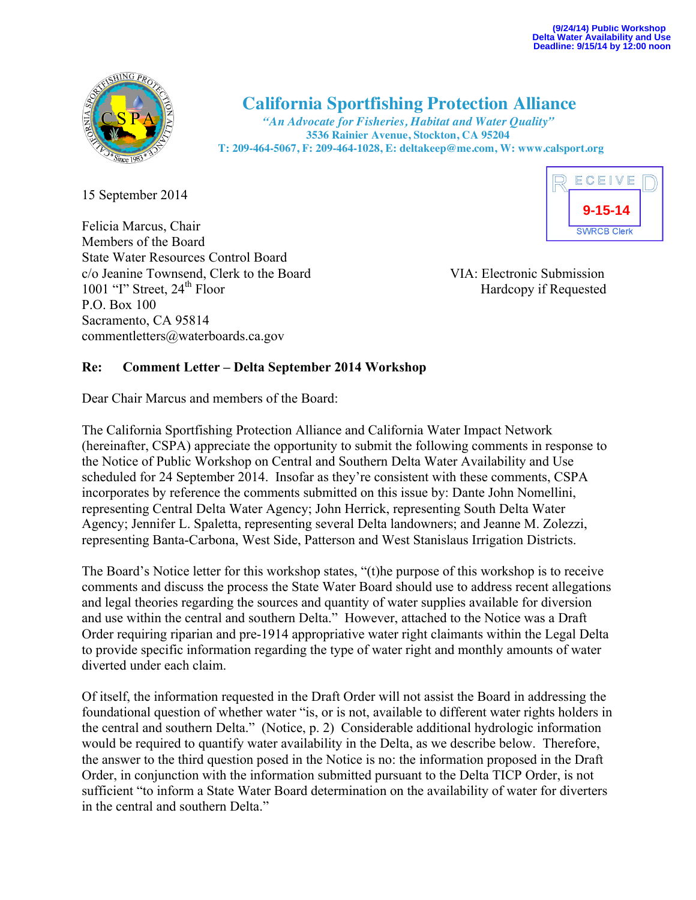

## **California Sportfishing Protection Alliance** *"An Advocate for Fisheries, Habitat and Water Quality"*

 **3536 Rainier Avenue, Stockton, CA 95204 T: 209-464-5067, F: 209-464-1028, E: deltakeep@me.com, W: www.calsport.org**

15 September 2014

Felicia Marcus, Chair Members of the Board State Water Resources Control Board c/o Jeanine Townsend, Clerk to the Board VIA: Electronic Submission 1001 "I" Street, 24<sup>th</sup> Floor Hardcopy if Requested P.O. Box 100 Sacramento, CA 95814 commentletters@waterboards.ca.gov



## **Re: Comment Letter – Delta September 2014 Workshop**

Dear Chair Marcus and members of the Board:

The California Sportfishing Protection Alliance and California Water Impact Network (hereinafter, CSPA) appreciate the opportunity to submit the following comments in response to the Notice of Public Workshop on Central and Southern Delta Water Availability and Use scheduled for 24 September 2014. Insofar as they're consistent with these comments, CSPA incorporates by reference the comments submitted on this issue by: Dante John Nomellini, representing Central Delta Water Agency; John Herrick, representing South Delta Water Agency; Jennifer L. Spaletta, representing several Delta landowners; and Jeanne M. Zolezzi, representing Banta-Carbona, West Side, Patterson and West Stanislaus Irrigation Districts.

The Board's Notice letter for this workshop states, "(t)he purpose of this workshop is to receive comments and discuss the process the State Water Board should use to address recent allegations and legal theories regarding the sources and quantity of water supplies available for diversion and use within the central and southern Delta." However, attached to the Notice was a Draft Order requiring riparian and pre-1914 appropriative water right claimants within the Legal Delta to provide specific information regarding the type of water right and monthly amounts of water diverted under each claim.

Of itself, the information requested in the Draft Order will not assist the Board in addressing the foundational question of whether water "is, or is not, available to different water rights holders in the central and southern Delta." (Notice, p. 2) Considerable additional hydrologic information would be required to quantify water availability in the Delta, as we describe below. Therefore, the answer to the third question posed in the Notice is no: the information proposed in the Draft Order, in conjunction with the information submitted pursuant to the Delta TICP Order, is not sufficient "to inform a State Water Board determination on the availability of water for diverters in the central and southern Delta."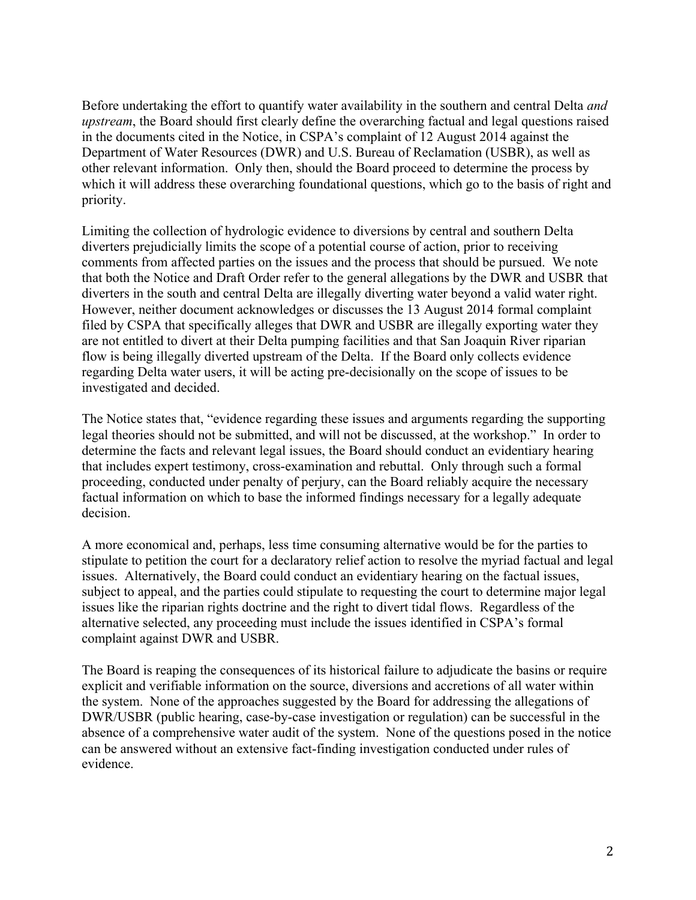Before undertaking the effort to quantify water availability in the southern and central Delta *and upstream*, the Board should first clearly define the overarching factual and legal questions raised in the documents cited in the Notice, in CSPA's complaint of 12 August 2014 against the Department of Water Resources (DWR) and U.S. Bureau of Reclamation (USBR), as well as other relevant information. Only then, should the Board proceed to determine the process by which it will address these overarching foundational questions, which go to the basis of right and priority.

Limiting the collection of hydrologic evidence to diversions by central and southern Delta diverters prejudicially limits the scope of a potential course of action, prior to receiving comments from affected parties on the issues and the process that should be pursued. We note that both the Notice and Draft Order refer to the general allegations by the DWR and USBR that diverters in the south and central Delta are illegally diverting water beyond a valid water right. However, neither document acknowledges or discusses the 13 August 2014 formal complaint filed by CSPA that specifically alleges that DWR and USBR are illegally exporting water they are not entitled to divert at their Delta pumping facilities and that San Joaquin River riparian flow is being illegally diverted upstream of the Delta. If the Board only collects evidence regarding Delta water users, it will be acting pre-decisionally on the scope of issues to be investigated and decided.

The Notice states that, "evidence regarding these issues and arguments regarding the supporting legal theories should not be submitted, and will not be discussed, at the workshop." In order to determine the facts and relevant legal issues, the Board should conduct an evidentiary hearing that includes expert testimony, cross-examination and rebuttal. Only through such a formal proceeding, conducted under penalty of perjury, can the Board reliably acquire the necessary factual information on which to base the informed findings necessary for a legally adequate decision.

A more economical and, perhaps, less time consuming alternative would be for the parties to stipulate to petition the court for a declaratory relief action to resolve the myriad factual and legal issues. Alternatively, the Board could conduct an evidentiary hearing on the factual issues, subject to appeal, and the parties could stipulate to requesting the court to determine major legal issues like the riparian rights doctrine and the right to divert tidal flows. Regardless of the alternative selected, any proceeding must include the issues identified in CSPA's formal complaint against DWR and USBR.

The Board is reaping the consequences of its historical failure to adjudicate the basins or require explicit and verifiable information on the source, diversions and accretions of all water within the system. None of the approaches suggested by the Board for addressing the allegations of DWR/USBR (public hearing, case-by-case investigation or regulation) can be successful in the absence of a comprehensive water audit of the system. None of the questions posed in the notice can be answered without an extensive fact-finding investigation conducted under rules of evidence.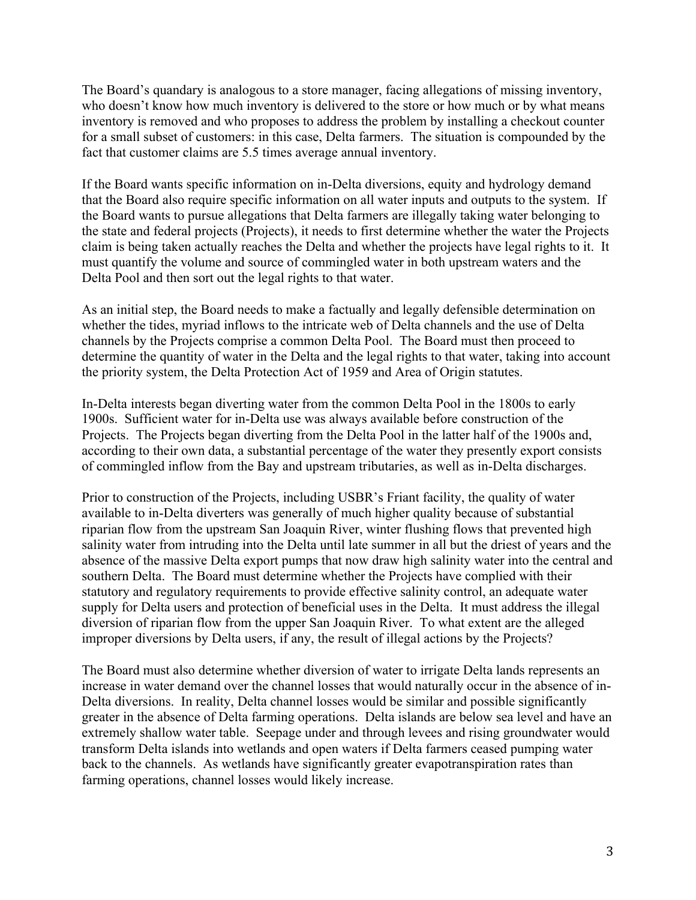The Board's quandary is analogous to a store manager, facing allegations of missing inventory, who doesn't know how much inventory is delivered to the store or how much or by what means inventory is removed and who proposes to address the problem by installing a checkout counter for a small subset of customers: in this case, Delta farmers. The situation is compounded by the fact that customer claims are 5.5 times average annual inventory.

If the Board wants specific information on in-Delta diversions, equity and hydrology demand that the Board also require specific information on all water inputs and outputs to the system. If the Board wants to pursue allegations that Delta farmers are illegally taking water belonging to the state and federal projects (Projects), it needs to first determine whether the water the Projects claim is being taken actually reaches the Delta and whether the projects have legal rights to it. It must quantify the volume and source of commingled water in both upstream waters and the Delta Pool and then sort out the legal rights to that water.

As an initial step, the Board needs to make a factually and legally defensible determination on whether the tides, myriad inflows to the intricate web of Delta channels and the use of Delta channels by the Projects comprise a common Delta Pool. The Board must then proceed to determine the quantity of water in the Delta and the legal rights to that water, taking into account the priority system, the Delta Protection Act of 1959 and Area of Origin statutes.

In-Delta interests began diverting water from the common Delta Pool in the 1800s to early 1900s. Sufficient water for in-Delta use was always available before construction of the Projects. The Projects began diverting from the Delta Pool in the latter half of the 1900s and, according to their own data, a substantial percentage of the water they presently export consists of commingled inflow from the Bay and upstream tributaries, as well as in-Delta discharges.

Prior to construction of the Projects, including USBR's Friant facility, the quality of water available to in-Delta diverters was generally of much higher quality because of substantial riparian flow from the upstream San Joaquin River, winter flushing flows that prevented high salinity water from intruding into the Delta until late summer in all but the driest of years and the absence of the massive Delta export pumps that now draw high salinity water into the central and southern Delta. The Board must determine whether the Projects have complied with their statutory and regulatory requirements to provide effective salinity control, an adequate water supply for Delta users and protection of beneficial uses in the Delta. It must address the illegal diversion of riparian flow from the upper San Joaquin River. To what extent are the alleged improper diversions by Delta users, if any, the result of illegal actions by the Projects?

The Board must also determine whether diversion of water to irrigate Delta lands represents an increase in water demand over the channel losses that would naturally occur in the absence of in-Delta diversions. In reality, Delta channel losses would be similar and possible significantly greater in the absence of Delta farming operations. Delta islands are below sea level and have an extremely shallow water table. Seepage under and through levees and rising groundwater would transform Delta islands into wetlands and open waters if Delta farmers ceased pumping water back to the channels. As wetlands have significantly greater evapotranspiration rates than farming operations, channel losses would likely increase.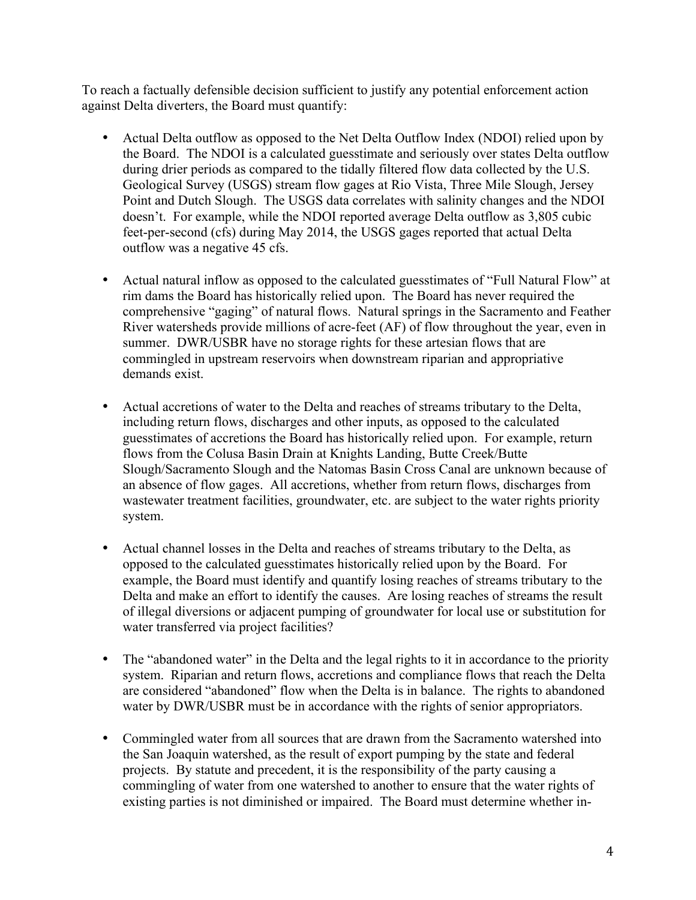To reach a factually defensible decision sufficient to justify any potential enforcement action against Delta diverters, the Board must quantify:

- Actual Delta outflow as opposed to the Net Delta Outflow Index (NDOI) relied upon by the Board. The NDOI is a calculated guesstimate and seriously over states Delta outflow during drier periods as compared to the tidally filtered flow data collected by the U.S. Geological Survey (USGS) stream flow gages at Rio Vista, Three Mile Slough, Jersey Point and Dutch Slough. The USGS data correlates with salinity changes and the NDOI doesn't. For example, while the NDOI reported average Delta outflow as 3,805 cubic feet-per-second (cfs) during May 2014, the USGS gages reported that actual Delta outflow was a negative 45 cfs.
- Actual natural inflow as opposed to the calculated guesstimates of "Full Natural Flow" at rim dams the Board has historically relied upon. The Board has never required the comprehensive "gaging" of natural flows. Natural springs in the Sacramento and Feather River watersheds provide millions of acre-feet (AF) of flow throughout the year, even in summer. DWR/USBR have no storage rights for these artesian flows that are commingled in upstream reservoirs when downstream riparian and appropriative demands exist.
- Actual accretions of water to the Delta and reaches of streams tributary to the Delta, including return flows, discharges and other inputs, as opposed to the calculated guesstimates of accretions the Board has historically relied upon. For example, return flows from the Colusa Basin Drain at Knights Landing, Butte Creek/Butte Slough/Sacramento Slough and the Natomas Basin Cross Canal are unknown because of an absence of flow gages. All accretions, whether from return flows, discharges from wastewater treatment facilities, groundwater, etc. are subject to the water rights priority system.
- Actual channel losses in the Delta and reaches of streams tributary to the Delta, as opposed to the calculated guesstimates historically relied upon by the Board. For example, the Board must identify and quantify losing reaches of streams tributary to the Delta and make an effort to identify the causes. Are losing reaches of streams the result of illegal diversions or adjacent pumping of groundwater for local use or substitution for water transferred via project facilities?
- The "abandoned water" in the Delta and the legal rights to it in accordance to the priority system. Riparian and return flows, accretions and compliance flows that reach the Delta are considered "abandoned" flow when the Delta is in balance. The rights to abandoned water by DWR/USBR must be in accordance with the rights of senior appropriators.
- Commingled water from all sources that are drawn from the Sacramento watershed into the San Joaquin watershed, as the result of export pumping by the state and federal projects. By statute and precedent, it is the responsibility of the party causing a commingling of water from one watershed to another to ensure that the water rights of existing parties is not diminished or impaired. The Board must determine whether in-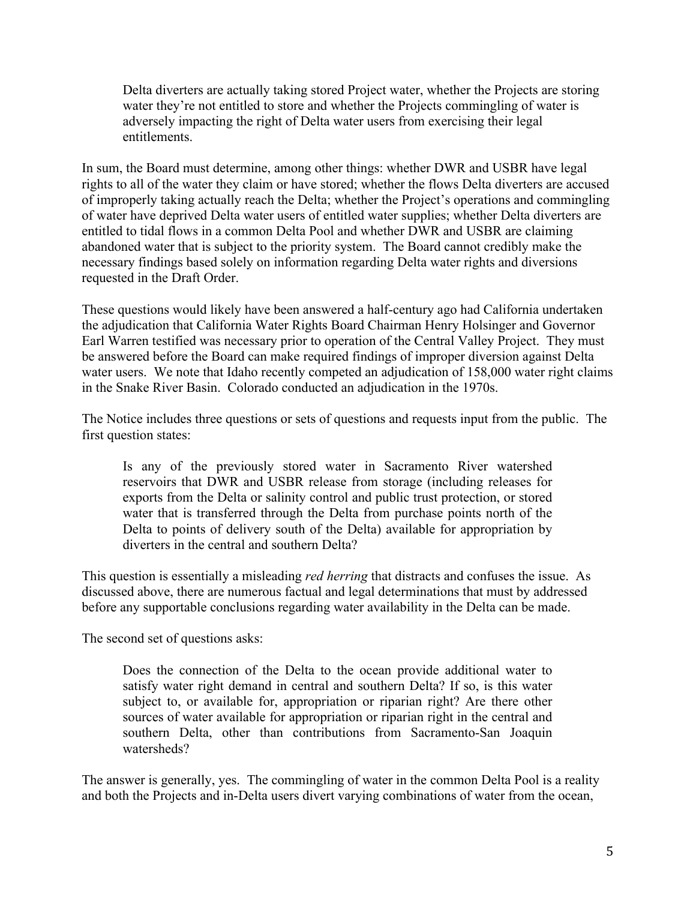Delta diverters are actually taking stored Project water, whether the Projects are storing water they're not entitled to store and whether the Projects commingling of water is adversely impacting the right of Delta water users from exercising their legal entitlements.

In sum, the Board must determine, among other things: whether DWR and USBR have legal rights to all of the water they claim or have stored; whether the flows Delta diverters are accused of improperly taking actually reach the Delta; whether the Project's operations and commingling of water have deprived Delta water users of entitled water supplies; whether Delta diverters are entitled to tidal flows in a common Delta Pool and whether DWR and USBR are claiming abandoned water that is subject to the priority system. The Board cannot credibly make the necessary findings based solely on information regarding Delta water rights and diversions requested in the Draft Order.

These questions would likely have been answered a half-century ago had California undertaken the adjudication that California Water Rights Board Chairman Henry Holsinger and Governor Earl Warren testified was necessary prior to operation of the Central Valley Project. They must be answered before the Board can make required findings of improper diversion against Delta water users. We note that Idaho recently competed an adjudication of 158,000 water right claims in the Snake River Basin. Colorado conducted an adjudication in the 1970s.

The Notice includes three questions or sets of questions and requests input from the public. The first question states:

Is any of the previously stored water in Sacramento River watershed reservoirs that DWR and USBR release from storage (including releases for exports from the Delta or salinity control and public trust protection, or stored water that is transferred through the Delta from purchase points north of the Delta to points of delivery south of the Delta) available for appropriation by diverters in the central and southern Delta?

This question is essentially a misleading *red herring* that distracts and confuses the issue. As discussed above, there are numerous factual and legal determinations that must by addressed before any supportable conclusions regarding water availability in the Delta can be made.

The second set of questions asks:

Does the connection of the Delta to the ocean provide additional water to satisfy water right demand in central and southern Delta? If so, is this water subject to, or available for, appropriation or riparian right? Are there other sources of water available for appropriation or riparian right in the central and southern Delta, other than contributions from Sacramento-San Joaquin watersheds?

The answer is generally, yes. The commingling of water in the common Delta Pool is a reality and both the Projects and in-Delta users divert varying combinations of water from the ocean,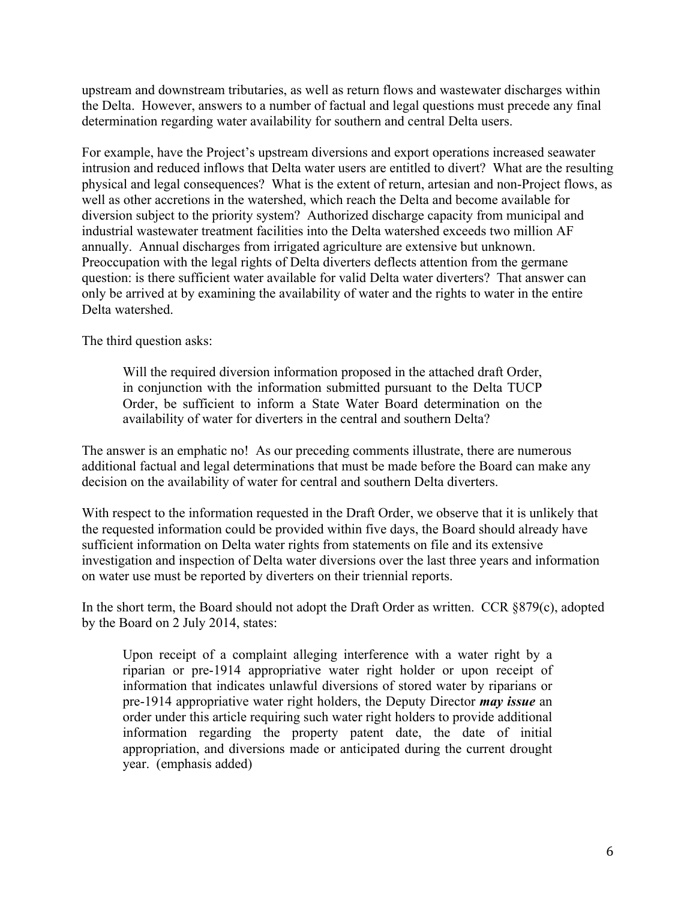upstream and downstream tributaries, as well as return flows and wastewater discharges within the Delta. However, answers to a number of factual and legal questions must precede any final determination regarding water availability for southern and central Delta users.

For example, have the Project's upstream diversions and export operations increased seawater intrusion and reduced inflows that Delta water users are entitled to divert? What are the resulting physical and legal consequences? What is the extent of return, artesian and non-Project flows, as well as other accretions in the watershed, which reach the Delta and become available for diversion subject to the priority system? Authorized discharge capacity from municipal and industrial wastewater treatment facilities into the Delta watershed exceeds two million AF annually. Annual discharges from irrigated agriculture are extensive but unknown. Preoccupation with the legal rights of Delta diverters deflects attention from the germane question: is there sufficient water available for valid Delta water diverters? That answer can only be arrived at by examining the availability of water and the rights to water in the entire Delta watershed.

The third question asks:

Will the required diversion information proposed in the attached draft Order, in conjunction with the information submitted pursuant to the Delta TUCP Order, be sufficient to inform a State Water Board determination on the availability of water for diverters in the central and southern Delta?

The answer is an emphatic no! As our preceding comments illustrate, there are numerous additional factual and legal determinations that must be made before the Board can make any decision on the availability of water for central and southern Delta diverters.

With respect to the information requested in the Draft Order, we observe that it is unlikely that the requested information could be provided within five days, the Board should already have sufficient information on Delta water rights from statements on file and its extensive investigation and inspection of Delta water diversions over the last three years and information on water use must be reported by diverters on their triennial reports.

In the short term, the Board should not adopt the Draft Order as written. CCR §879(c), adopted by the Board on 2 July 2014, states:

Upon receipt of a complaint alleging interference with a water right by a riparian or pre-1914 appropriative water right holder or upon receipt of information that indicates unlawful diversions of stored water by riparians or pre-1914 appropriative water right holders, the Deputy Director *may issue* an order under this article requiring such water right holders to provide additional information regarding the property patent date, the date of initial appropriation, and diversions made or anticipated during the current drought year. (emphasis added)